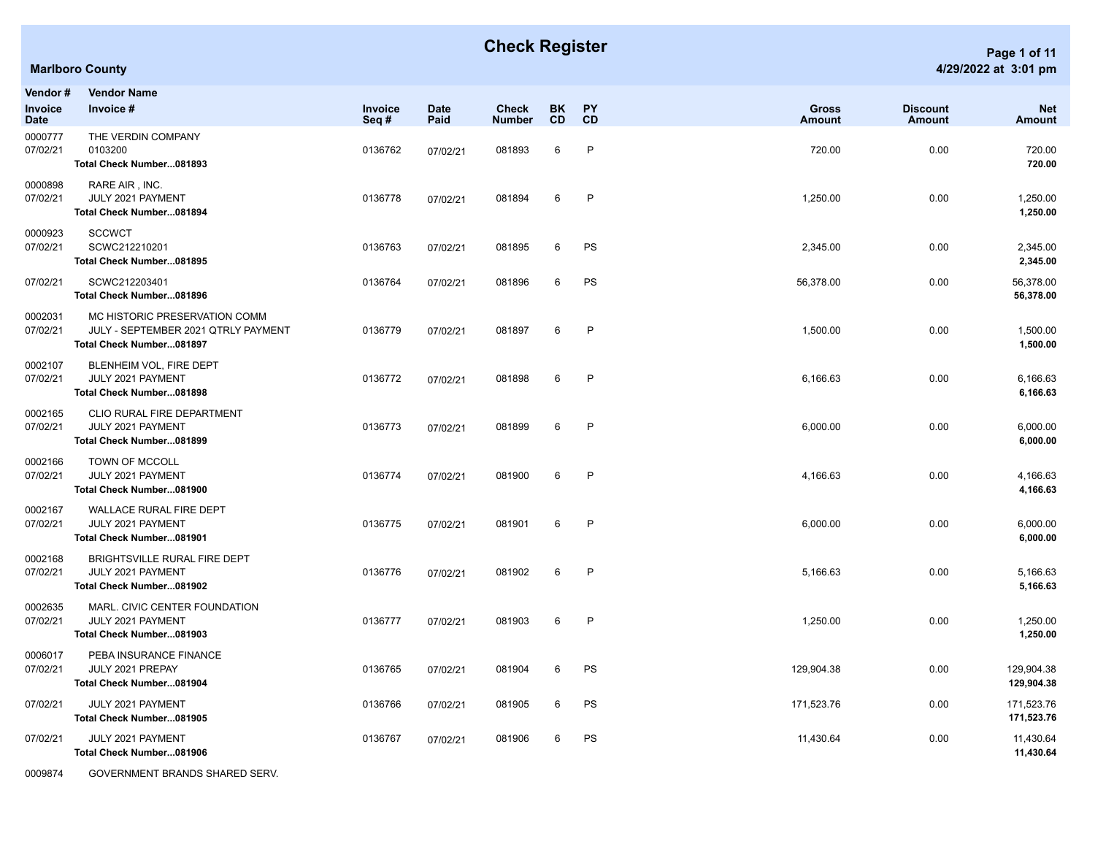|                             | <b>Marlboro County</b>                                                                           |                        |                     |                               |                 |                 |                               |                                  | 4/29/2022 at 3:01 pm     |
|-----------------------------|--------------------------------------------------------------------------------------------------|------------------------|---------------------|-------------------------------|-----------------|-----------------|-------------------------------|----------------------------------|--------------------------|
| Vendor #<br>Invoice<br>Date | <b>Vendor Name</b><br>Invoice #                                                                  | <b>Invoice</b><br>Seq# | <b>Date</b><br>Paid | <b>Check</b><br><b>Number</b> | <b>BK</b><br>CD | <b>PY</b><br>CD | <b>Gross</b><br><b>Amount</b> | <b>Discount</b><br><b>Amount</b> | <b>Net</b><br>Amount     |
| 0000777<br>07/02/21         | THE VERDIN COMPANY<br>0103200<br>Total Check Number081893                                        | 0136762                | 07/02/21            | 081893                        | 6               | $\mathsf{P}$    | 720.00                        | 0.00                             | 720.00<br>720.00         |
| 0000898<br>07/02/21         | RARE AIR, INC.<br>JULY 2021 PAYMENT<br>Total Check Number081894                                  | 0136778                | 07/02/21            | 081894                        | 6               | $\mathsf{P}$    | 1,250.00                      | 0.00                             | 1,250.00<br>1,250.00     |
| 0000923<br>07/02/21         | <b>SCCWCT</b><br>SCWC212210201<br>Total Check Number081895                                       | 0136763                | 07/02/21            | 081895                        | 6               | PS              | 2,345.00                      | 0.00                             | 2,345.00<br>2,345.00     |
| 07/02/21                    | SCWC212203401<br>Total Check Number081896                                                        | 0136764                | 07/02/21            | 081896                        | 6               | PS              | 56,378.00                     | 0.00                             | 56,378.00<br>56,378.00   |
| 0002031<br>07/02/21         | MC HISTORIC PRESERVATION COMM<br>JULY - SEPTEMBER 2021 QTRLY PAYMENT<br>Total Check Number081897 | 0136779                | 07/02/21            | 081897                        | 6               | $\mathsf{P}$    | 1,500.00                      | 0.00                             | 1,500.00<br>1,500.00     |
| 0002107<br>07/02/21         | BLENHEIM VOL, FIRE DEPT<br>JULY 2021 PAYMENT<br>Total Check Number081898                         | 0136772                | 07/02/21            | 081898                        | 6               | $\mathsf{P}$    | 6,166.63                      | 0.00                             | 6,166.63<br>6,166.63     |
| 0002165<br>07/02/21         | CLIO RURAL FIRE DEPARTMENT<br>JULY 2021 PAYMENT<br>Total Check Number081899                      | 0136773                | 07/02/21            | 081899                        | 6               | $\mathsf{P}$    | 6,000.00                      | 0.00                             | 6,000.00<br>6,000.00     |
| 0002166<br>07/02/21         | <b>TOWN OF MCCOLL</b><br>JULY 2021 PAYMENT<br>Total Check Number081900                           | 0136774                | 07/02/21            | 081900                        | 6               | $\mathsf{P}$    | 4,166.63                      | 0.00                             | 4,166.63<br>4,166.63     |
| 0002167<br>07/02/21         | <b>WALLACE RURAL FIRE DEPT</b><br>JULY 2021 PAYMENT<br>Total Check Number081901                  | 0136775                | 07/02/21            | 081901                        | 6               | P               | 6,000.00                      | 0.00                             | 6,000.00<br>6,000.00     |
| 0002168<br>07/02/21         | BRIGHTSVILLE RURAL FIRE DEPT<br>JULY 2021 PAYMENT<br>Total Check Number081902                    | 0136776                | 07/02/21            | 081902                        | 6               | $\mathsf{P}$    | 5,166.63                      | 0.00                             | 5,166.63<br>5,166.63     |
| 0002635<br>07/02/21         | MARL. CIVIC CENTER FOUNDATION<br>JULY 2021 PAYMENT<br>Total Check Number081903                   | 0136777                | 07/02/21            | 081903                        | 6               | $\mathsf{P}$    | 1,250.00                      | 0.00                             | 1,250.00<br>1,250.00     |
| 0006017<br>07/02/21         | PEBA INSURANCE FINANCE<br>JULY 2021 PREPAY<br>Total Check Number081904                           | 0136765                | 07/02/21            | 081904                        | 6               | PS              | 129,904.38                    | 0.00                             | 129,904.38<br>129,904.38 |
| 07/02/21                    | JULY 2021 PAYMENT                                                                                | 0136766                | 07/02/21            | 081905                        | 6               | PS              | 171,523.76                    | 0.00                             | 171,523.76               |

**Total Check Number...081905 171,523.76** 07/02/21 JULY 2021 PAYMENT 0136767 07/02/21 081906 6 PS 11,430.64 0.00 11,430.64 **Total Check Number...081906 11,430.64**

0009874 GOVERNMENT BRANDS SHARED SERV.

## **Check Register Page 1 of 11 Page 1 of 11**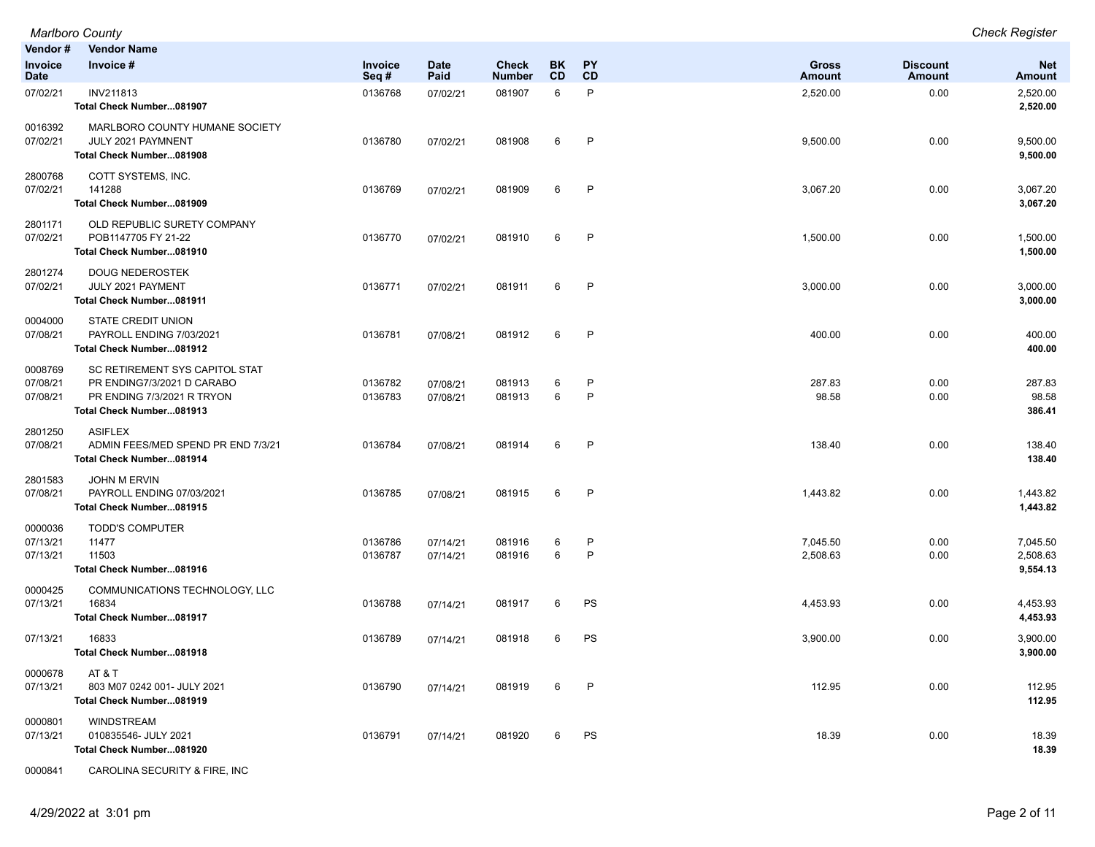|                                 | <b>Marlboro County</b>                                                                                                 |                    |                      |                               |                        |                        |                               |                                  | <b>Check Register</b>            |
|---------------------------------|------------------------------------------------------------------------------------------------------------------------|--------------------|----------------------|-------------------------------|------------------------|------------------------|-------------------------------|----------------------------------|----------------------------------|
| Vendor #                        | <b>Vendor Name</b>                                                                                                     |                    |                      |                               |                        |                        |                               |                                  |                                  |
| Invoice<br>Date                 | Invoice #                                                                                                              | Invoice<br>Seq#    | <b>Date</b><br>Paid  | <b>Check</b><br><b>Number</b> | <b>BK</b><br><b>CD</b> | <b>PY</b><br><b>CD</b> | <b>Gross</b><br><b>Amount</b> | <b>Discount</b><br><b>Amount</b> | <b>Net</b><br><b>Amount</b>      |
| 07/02/21                        | <b>INV211813</b><br>Total Check Number081907                                                                           | 0136768            | 07/02/21             | 081907                        | 6                      | P                      | 2,520.00                      | 0.00                             | 2,520.00<br>2,520.00             |
| 0016392<br>07/02/21             | MARLBORO COUNTY HUMANE SOCIETY<br>JULY 2021 PAYMNENT<br>Total Check Number081908                                       | 0136780            | 07/02/21             | 081908                        | 6                      | P                      | 9,500.00                      | 0.00                             | 9,500.00<br>9,500.00             |
| 2800768<br>07/02/21             | COTT SYSTEMS, INC.<br>141288<br>Total Check Number081909                                                               | 0136769            | 07/02/21             | 081909                        | 6                      | $\mathsf{P}$           | 3,067.20                      | 0.00                             | 3,067.20<br>3,067.20             |
| 2801171<br>07/02/21             | OLD REPUBLIC SURETY COMPANY<br>POB1147705 FY 21-22<br>Total Check Number081910                                         | 0136770            | 07/02/21             | 081910                        | 6                      | P                      | 1,500.00                      | 0.00                             | 1,500.00<br>1,500.00             |
| 2801274<br>07/02/21             | <b>DOUG NEDEROSTEK</b><br>JULY 2021 PAYMENT<br><b>Total Check Number081911</b>                                         | 0136771            | 07/02/21             | 081911                        | 6                      | $\mathsf{P}$           | 3,000.00                      | 0.00                             | 3,000.00<br>3,000.00             |
| 0004000<br>07/08/21             | STATE CREDIT UNION<br>PAYROLL ENDING 7/03/2021<br>Total Check Number081912                                             | 0136781            | 07/08/21             | 081912                        | 6                      | P                      | 400.00                        | 0.00                             | 400.00<br>400.00                 |
| 0008769<br>07/08/21<br>07/08/21 | SC RETIREMENT SYS CAPITOL STAT<br>PR ENDING7/3/2021 D CARABO<br>PR ENDING 7/3/2021 R TRYON<br>Total Check Number081913 | 0136782<br>0136783 | 07/08/21<br>07/08/21 | 081913<br>081913              | 6<br>6                 | P<br>P                 | 287.83<br>98.58               | 0.00<br>0.00                     | 287.83<br>98.58<br>386.41        |
| 2801250<br>07/08/21             | <b>ASIFLEX</b><br>ADMIN FEES/MED SPEND PR END 7/3/21<br>Total Check Number081914                                       | 0136784            | 07/08/21             | 081914                        | 6                      | P                      | 138.40                        | 0.00                             | 138.40<br>138.40                 |
| 2801583<br>07/08/21             | JOHN M ERVIN<br>PAYROLL ENDING 07/03/2021<br>Total Check Number081915                                                  | 0136785            | 07/08/21             | 081915                        | 6                      | $\mathsf{P}$           | 1,443.82                      | 0.00                             | 1,443.82<br>1,443.82             |
| 0000036<br>07/13/21<br>07/13/21 | <b>TODD'S COMPUTER</b><br>11477<br>11503<br>Total Check Number081916                                                   | 0136786<br>0136787 | 07/14/21<br>07/14/21 | 081916<br>081916              | 6<br>6                 | P<br>$\mathsf{P}$      | 7,045.50<br>2,508.63          | 0.00<br>0.00                     | 7,045.50<br>2,508.63<br>9,554.13 |
| 0000425<br>07/13/21             | COMMUNICATIONS TECHNOLOGY, LLC<br>16834<br>Total Check Number081917                                                    | 0136788            | 07/14/21             | 081917                        | 6                      | PS                     | 4,453.93                      | 0.00                             | 4,453.93<br>4,453.93             |
| 07/13/21                        | 16833<br>Total Check Number081918                                                                                      | 0136789            | 07/14/21             | 081918                        | 6                      | PS                     | 3,900.00                      | 0.00                             | 3,900.00<br>3,900.00             |
| 0000678<br>07/13/21             | AT & T<br>803 M07 0242 001- JULY 2021<br>Total Check Number081919                                                      | 0136790            | 07/14/21             | 081919                        | 6                      | $\mathsf{P}$           | 112.95                        | 0.00                             | 112.95<br>112.95                 |
| 0000801<br>07/13/21             | <b>WINDSTREAM</b><br>010835546- JULY 2021<br>Total Check Number081920                                                  | 0136791            | 07/14/21             | 081920                        | 6                      | PS                     | 18.39                         | 0.00                             | 18.39<br>18.39                   |

0000841 CAROLINA SECURITY & FIRE, INC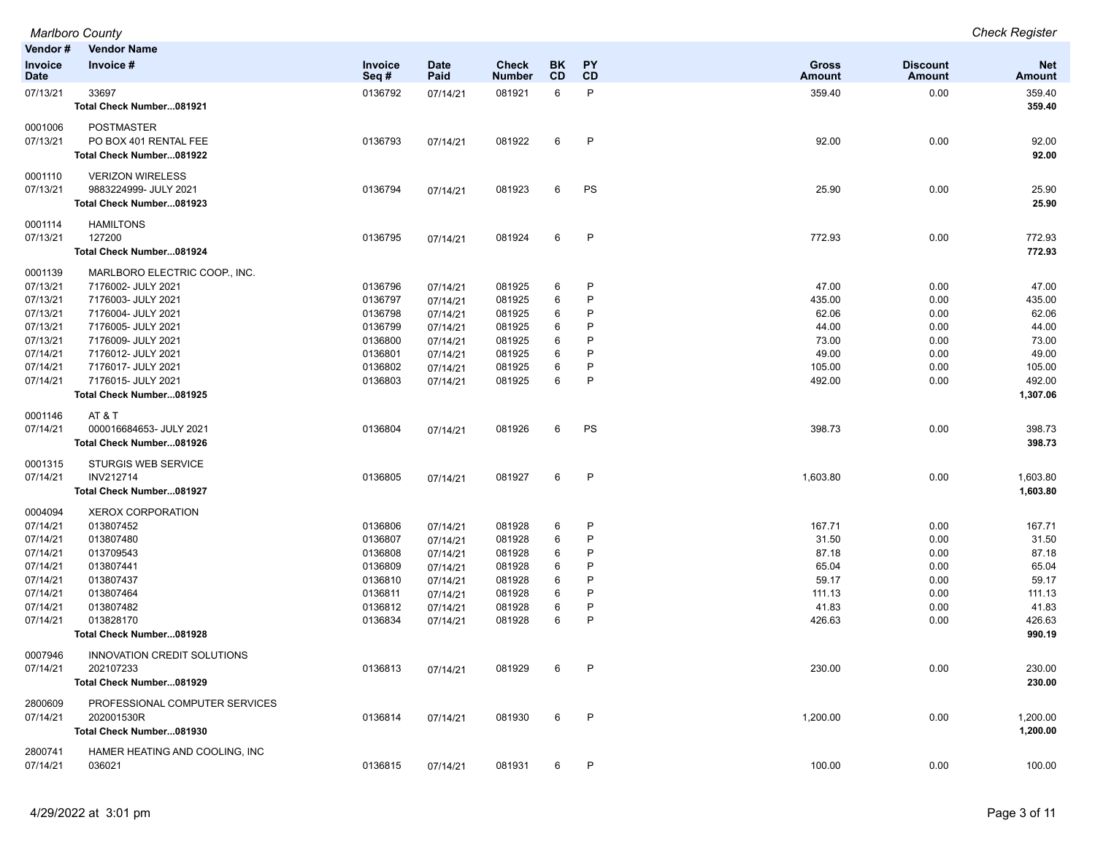| <b>Marlboro County</b>            | Chack<br><i>Check Reqister</i> |
|-----------------------------------|--------------------------------|
| $V$ ondor #<br><b>Mondor Namo</b> |                                |

| venuor #                      | <b>Velidor Natile</b>          |                 |                     |                               |                 |                 |                        |                           |                      |
|-------------------------------|--------------------------------|-----------------|---------------------|-------------------------------|-----------------|-----------------|------------------------|---------------------------|----------------------|
| <b>Invoice</b><br><b>Date</b> | Invoice #                      | Invoice<br>Seq# | <b>Date</b><br>Paid | <b>Check</b><br><b>Number</b> | BK<br><b>CD</b> | <b>PY</b><br>CD | <b>Gross</b><br>Amount | <b>Discount</b><br>Amount | <b>Net</b><br>Amount |
| 07/13/21                      | 33697                          | 0136792         | 07/14/21            | 081921                        | 6               | P               | 359.40                 | 0.00                      | 359.40               |
|                               | Total Check Number081921       |                 |                     |                               |                 |                 |                        |                           | 359.40               |
| 0001006                       | <b>POSTMASTER</b>              |                 |                     |                               |                 |                 |                        |                           |                      |
| 07/13/21                      | PO BOX 401 RENTAL FEE          | 0136793         | 07/14/21            | 081922                        | 6               | P               | 92.00                  | 0.00                      | 92.00                |
|                               | Total Check Number081922       |                 |                     |                               |                 |                 |                        |                           | 92.00                |
| 0001110                       | <b>VERIZON WIRELESS</b>        |                 |                     |                               |                 |                 |                        |                           |                      |
| 07/13/21                      | 9883224999- JULY 2021          | 0136794         | 07/14/21            | 081923                        | 6               | PS              | 25.90                  | 0.00                      | 25.90                |
|                               | Total Check Number081923       |                 |                     |                               |                 |                 |                        |                           | 25.90                |
| 0001114<br>07/13/21           | <b>HAMILTONS</b><br>127200     | 0136795         |                     | 081924                        | 6               | $\mathsf{P}$    | 772.93                 | 0.00                      | 772.93               |
|                               | Total Check Number081924       |                 | 07/14/21            |                               |                 |                 |                        |                           | 772.93               |
|                               |                                |                 |                     |                               |                 |                 |                        |                           |                      |
| 0001139                       | MARLBORO ELECTRIC COOP., INC.  |                 |                     |                               |                 |                 |                        |                           |                      |
| 07/13/21                      | 7176002- JULY 2021             | 0136796         | 07/14/21            | 081925                        | 6               | P               | 47.00                  | 0.00                      | 47.00                |
| 07/13/21                      | 7176003- JULY 2021             | 0136797         | 07/14/21            | 081925                        | 6               | P               | 435.00                 | 0.00                      | 435.00               |
| 07/13/21                      | 7176004- JULY 2021             | 0136798         | 07/14/21            | 081925                        | 6               | P               | 62.06                  | 0.00                      | 62.06                |
| 07/13/21                      | 7176005- JULY 2021             | 0136799         | 07/14/21            | 081925                        | 6               | P               | 44.00                  | 0.00                      | 44.00                |
| 07/13/21                      | 7176009- JULY 2021             | 0136800         | 07/14/21            | 081925                        | 6               | P               | 73.00                  | 0.00                      | 73.00                |
| 07/14/21                      | 7176012- JULY 2021             | 0136801         | 07/14/21            | 081925                        | 6               | P               | 49.00                  | 0.00                      | 49.00                |
| 07/14/21                      | 7176017- JULY 2021             | 0136802         | 07/14/21            | 081925                        | 6               | P               | 105.00                 | 0.00                      | 105.00               |
| 07/14/21                      | 7176015- JULY 2021             | 0136803         | 07/14/21            | 081925                        | 6               | $\mathsf{P}$    | 492.00                 | 0.00                      | 492.00               |
|                               | Total Check Number081925       |                 |                     |                               |                 |                 |                        |                           | 1,307.06             |
| 0001146                       | AT & T                         |                 |                     |                               |                 |                 |                        |                           |                      |
| 07/14/21                      | 000016684653- JULY 2021        | 0136804         | 07/14/21            | 081926                        | 6               | PS              | 398.73                 | 0.00                      | 398.73               |
|                               | Total Check Number081926       |                 |                     |                               |                 |                 |                        |                           | 398.73               |
| 0001315                       | <b>STURGIS WEB SERVICE</b>     |                 |                     |                               |                 |                 |                        |                           |                      |
| 07/14/21                      | <b>INV212714</b>               | 0136805         | 07/14/21            | 081927                        | 6               | $\mathsf{P}$    | 1,603.80               | 0.00                      | 1,603.80             |
|                               | Total Check Number081927       |                 |                     |                               |                 |                 |                        |                           | 1,603.80             |
| 0004094                       | <b>XEROX CORPORATION</b>       |                 |                     |                               |                 |                 |                        |                           |                      |
| 07/14/21                      | 013807452                      | 0136806         | 07/14/21            | 081928                        | 6               | P               | 167.71                 | 0.00                      | 167.71               |
| 07/14/21                      | 013807480                      | 0136807         | 07/14/21            | 081928                        | 6               | P               | 31.50                  | 0.00                      | 31.50                |
| 07/14/21                      | 013709543                      | 0136808         | 07/14/21            | 081928                        | 6               | P               | 87.18                  | 0.00                      | 87.18                |
| 07/14/21                      | 013807441                      | 0136809         | 07/14/21            | 081928                        | 6               | P               | 65.04                  | 0.00                      | 65.04                |
| 07/14/21                      | 013807437                      | 0136810         | 07/14/21            | 081928                        | 6               | P               | 59.17                  | 0.00                      | 59.17                |
| 07/14/21                      | 013807464                      | 0136811         | 07/14/21            | 081928                        | 6               | P               | 111.13                 | 0.00                      | 111.13               |
| 07/14/21                      | 013807482                      | 0136812         | 07/14/21            | 081928                        | 6               | P               | 41.83                  | 0.00                      | 41.83                |
| 07/14/21                      | 013828170                      | 0136834         | 07/14/21            | 081928                        | 6               | P               | 426.63                 | 0.00                      | 426.63               |
|                               | Total Check Number081928       |                 |                     |                               |                 |                 |                        |                           | 990.19               |
| 0007946                       | INNOVATION CREDIT SOLUTIONS    |                 |                     |                               |                 |                 |                        |                           |                      |
| 07/14/21                      | 202107233                      | 0136813         | 07/14/21            | 081929                        | 6               | P               | 230.00                 | 0.00                      | 230.00               |
|                               | Total Check Number081929       |                 |                     |                               |                 |                 |                        |                           | 230.00               |
| 2800609                       | PROFESSIONAL COMPUTER SERVICES |                 |                     |                               |                 |                 |                        |                           |                      |
| 07/14/21                      | 202001530R                     | 0136814         | 07/14/21            | 081930                        | 6               | P               | 1,200.00               | 0.00                      | 1,200.00             |
|                               | Total Check Number081930       |                 |                     |                               |                 |                 |                        |                           | 1,200.00             |
| 2800741                       | HAMER HEATING AND COOLING, INC |                 |                     |                               |                 |                 |                        |                           |                      |
| 07/14/21                      | 036021                         | 0136815         | 07/14/21            | 081931                        | 6               | P               | 100.00                 | 0.00                      | 100.00               |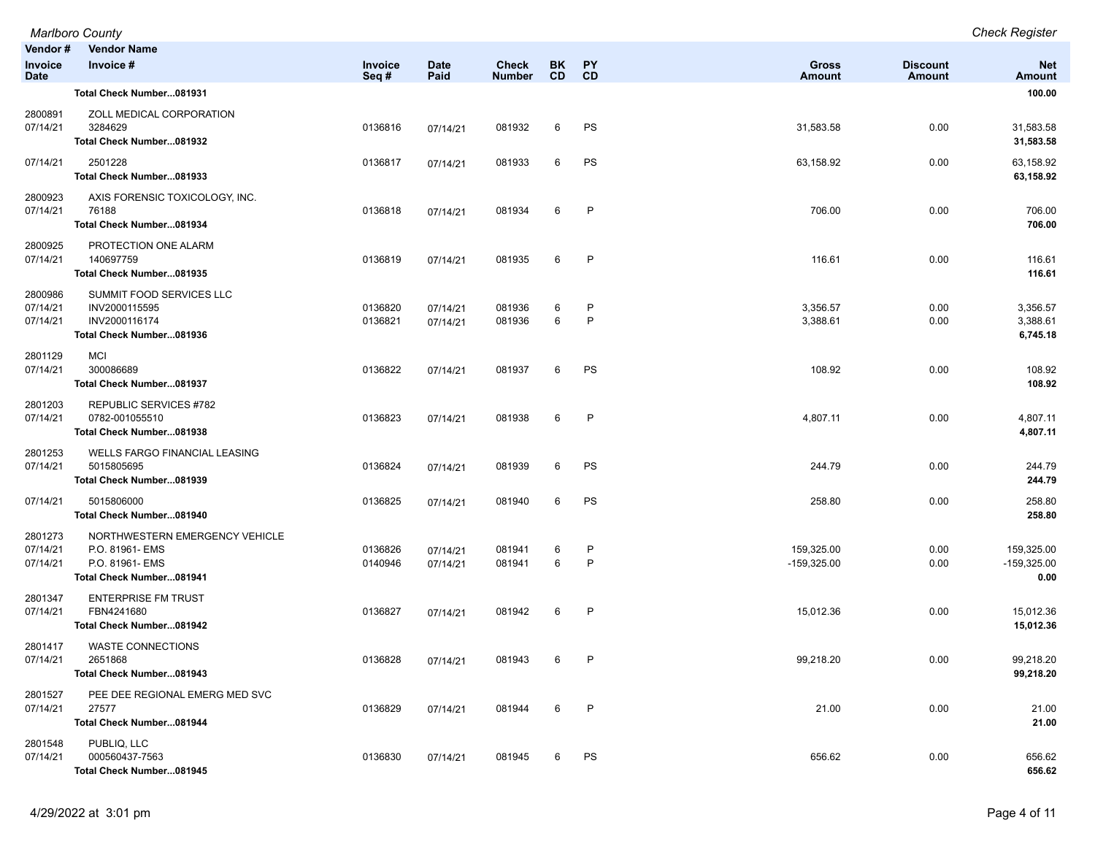|                                 | <b>Marlboro County</b>                                                                           |                    |                      |                               |                        |              |                             |                           | <b>Check Register</b>               |
|---------------------------------|--------------------------------------------------------------------------------------------------|--------------------|----------------------|-------------------------------|------------------------|--------------|-----------------------------|---------------------------|-------------------------------------|
| Vendor#                         | <b>Vendor Name</b>                                                                               |                    |                      |                               |                        |              |                             |                           |                                     |
| Invoice<br><b>Date</b>          | Invoice #                                                                                        | Invoice<br>Seq#    | <b>Date</b><br>Paid  | <b>Check</b><br><b>Number</b> | <b>BK</b><br><b>CD</b> | PY<br>CD     | <b>Gross</b><br>Amount      | <b>Discount</b><br>Amount | <b>Net</b><br><b>Amount</b>         |
|                                 | Total Check Number081931                                                                         |                    |                      |                               |                        |              |                             |                           | 100.00                              |
| 2800891<br>07/14/21             | ZOLL MEDICAL CORPORATION<br>3284629<br>Total Check Number081932                                  | 0136816            | 07/14/21             | 081932                        | 6                      | PS           | 31,583.58                   | 0.00                      | 31,583.58<br>31,583.58              |
| 07/14/21                        | 2501228<br>Total Check Number081933                                                              | 0136817            | 07/14/21             | 081933                        | 6                      | PS           | 63,158.92                   | 0.00                      | 63,158.92<br>63,158.92              |
| 2800923<br>07/14/21             | AXIS FORENSIC TOXICOLOGY, INC.<br>76188<br>Total Check Number081934                              | 0136818            | 07/14/21             | 081934                        | 6                      | P            | 706.00                      | 0.00                      | 706.00<br>706.00                    |
| 2800925<br>07/14/21             | PROTECTION ONE ALARM<br>140697759<br>Total Check Number081935                                    | 0136819            | 07/14/21             | 081935                        | 6                      | $\mathsf{P}$ | 116.61                      | 0.00                      | 116.61<br>116.61                    |
| 2800986<br>07/14/21<br>07/14/21 | SUMMIT FOOD SERVICES LLC<br>INV2000115595<br>INV2000116174<br>Total Check Number081936           | 0136820<br>0136821 | 07/14/21<br>07/14/21 | 081936<br>081936              | 6<br>6                 | P<br>P       | 3,356.57<br>3,388.61        | 0.00<br>0.00              | 3,356.57<br>3,388.61<br>6,745.18    |
| 2801129<br>07/14/21             | <b>MCI</b><br>300086689<br>Total Check Number081937                                              | 0136822            | 07/14/21             | 081937                        | 6                      | PS           | 108.92                      | 0.00                      | 108.92<br>108.92                    |
| 2801203<br>07/14/21             | REPUBLIC SERVICES #782<br>0782-001055510<br>Total Check Number081938                             | 0136823            | 07/14/21             | 081938                        | 6                      | P            | 4,807.11                    | 0.00                      | 4,807.11<br>4,807.11                |
| 2801253<br>07/14/21             | WELLS FARGO FINANCIAL LEASING<br>5015805695<br>Total Check Number081939                          | 0136824            | 07/14/21             | 081939                        | 6                      | PS           | 244.79                      | 0.00                      | 244.79<br>244.79                    |
| 07/14/21                        | 5015806000<br>Total Check Number081940                                                           | 0136825            | 07/14/21             | 081940                        | 6                      | PS           | 258.80                      | 0.00                      | 258.80<br>258.80                    |
| 2801273<br>07/14/21<br>07/14/21 | NORTHWESTERN EMERGENCY VEHICLE<br>P.O. 81961- EMS<br>P.O. 81961- EMS<br>Total Check Number081941 | 0136826<br>0140946 | 07/14/21<br>07/14/21 | 081941<br>081941              | 6<br>6                 | P<br>P       | 159,325.00<br>$-159,325.00$ | 0.00<br>0.00              | 159,325.00<br>$-159,325.00$<br>0.00 |
| 2801347<br>07/14/21             | <b>ENTERPRISE FM TRUST</b><br>FBN4241680<br>Total Check Number081942                             | 0136827            | 07/14/21             | 081942                        | 6                      | $\mathsf{P}$ | 15,012.36                   | 0.00                      | 15,012.36<br>15,012.36              |
| 2801417<br>07/14/21             | WASTE CONNECTIONS<br>2651868<br>Total Check Number081943                                         | 0136828            | 07/14/21             | 081943                        | 6                      | P            | 99,218.20                   | 0.00                      | 99,218.20<br>99,218.20              |
| 2801527<br>07/14/21             | PEE DEE REGIONAL EMERG MED SVC<br>27577<br>Total Check Number081944                              | 0136829            | 07/14/21             | 081944                        | 6                      | P            | 21.00                       | 0.00                      | 21.00<br>21.00                      |
| 2801548<br>07/14/21             | PUBLIQ, LLC<br>000560437-7563<br>Total Check Number081945                                        | 0136830            | 07/14/21             | 081945                        | 6                      | PS           | 656.62                      | 0.00                      | 656.62<br>656.62                    |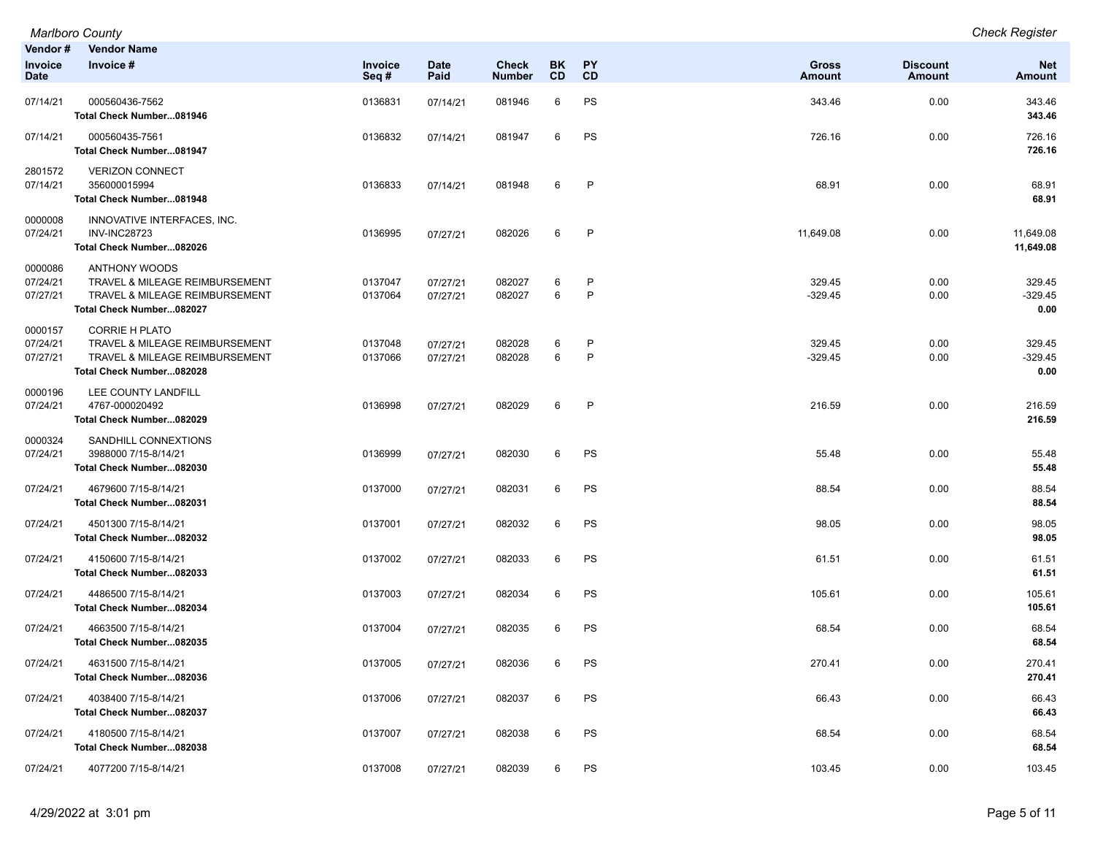|                                 | <b>Marlboro County</b>                                                                                                |                    |                      |                               |                 |                   |                               |                           | <b>Check Register</b>       |
|---------------------------------|-----------------------------------------------------------------------------------------------------------------------|--------------------|----------------------|-------------------------------|-----------------|-------------------|-------------------------------|---------------------------|-----------------------------|
| Vendor #<br>Invoice<br>Date     | <b>Vendor Name</b><br>Invoice #                                                                                       | Invoice<br>Seq#    | <b>Date</b><br>Paid  | <b>Check</b><br><b>Number</b> | <b>BK</b><br>CD | <b>PY</b><br>CD   | <b>Gross</b><br><b>Amount</b> | <b>Discount</b><br>Amount | <b>Net</b><br>Amount        |
| 07/14/21                        | 000560436-7562<br>Total Check Number081946                                                                            | 0136831            | 07/14/21             | 081946                        | 6               | PS                | 343.46                        | 0.00                      | 343.46<br>343.46            |
| 07/14/21                        | 000560435-7561<br>Total Check Number081947                                                                            | 0136832            | 07/14/21             | 081947                        | 6               | PS                | 726.16                        | 0.00                      | 726.16<br>726.16            |
| 2801572<br>07/14/21             | <b>VERIZON CONNECT</b><br>356000015994<br>Total Check Number081948                                                    | 0136833            | 07/14/21             | 081948                        | 6               | $\mathsf{P}$      | 68.91                         | 0.00                      | 68.91<br>68.91              |
| 0000008<br>07/24/21             | INNOVATIVE INTERFACES, INC.<br><b>INV-INC28723</b><br>Total Check Number082026                                        | 0136995            | 07/27/21             | 082026                        | 6               | $\mathsf{P}$      | 11,649.08                     | 0.00                      | 11,649.08<br>11,649.08      |
| 0000086<br>07/24/21<br>07/27/21 | <b>ANTHONY WOODS</b><br>TRAVEL & MILEAGE REIMBURSEMENT<br>TRAVEL & MILEAGE REIMBURSEMENT<br>Total Check Number082027  | 0137047<br>0137064 | 07/27/21<br>07/27/21 | 082027<br>082027              | 6<br>6          | P<br>$\mathsf{P}$ | 329.45<br>$-329.45$           | 0.00<br>0.00              | 329.45<br>$-329.45$<br>0.00 |
| 0000157<br>07/24/21<br>07/27/21 | <b>CORRIE H PLATO</b><br>TRAVEL & MILEAGE REIMBURSEMENT<br>TRAVEL & MILEAGE REIMBURSEMENT<br>Total Check Number082028 | 0137048<br>0137066 | 07/27/21<br>07/27/21 | 082028<br>082028              | 6<br>6          | P<br>$\mathsf{P}$ | 329.45<br>$-329.45$           | 0.00<br>0.00              | 329.45<br>-329.45<br>0.00   |
| 0000196<br>07/24/21             | LEE COUNTY LANDFILL<br>4767-000020492<br>Total Check Number082029                                                     | 0136998            | 07/27/21             | 082029                        | 6               | $\mathsf{P}$      | 216.59                        | 0.00                      | 216.59<br>216.59            |
| 0000324<br>07/24/21             | SANDHILL CONNEXTIONS<br>3988000 7/15-8/14/21<br>Total Check Number082030                                              | 0136999            | 07/27/21             | 082030                        | 6               | PS                | 55.48                         | 0.00                      | 55.48<br>55.48              |
| 07/24/21                        | 4679600 7/15-8/14/21<br>Total Check Number082031                                                                      | 0137000            | 07/27/21             | 082031                        | 6               | PS                | 88.54                         | 0.00                      | 88.54<br>88.54              |
| 07/24/21                        | 4501300 7/15-8/14/21<br>Total Check Number082032                                                                      | 0137001            | 07/27/21             | 082032                        | 6               | PS                | 98.05                         | 0.00                      | 98.05<br>98.05              |
| 07/24/21                        | 4150600 7/15-8/14/21<br>Total Check Number082033                                                                      | 0137002            | 07/27/21             | 082033                        | 6               | PS                | 61.51                         | 0.00                      | 61.51<br>61.51              |
| 07/24/21                        | 4486500 7/15-8/14/21<br>Total Check Number082034                                                                      | 0137003            | 07/27/21             | 082034                        | 6               | PS                | 105.61                        | 0.00                      | 105.61<br>105.61            |
| 07/24/21                        | 4663500 7/15-8/14/21<br>Total Check Number082035                                                                      | 0137004            | 07/27/21             | 082035                        | 6               | PS                | 68.54                         | 0.00                      | 68.54<br>68.54              |
| 07/24/21                        | 4631500 7/15-8/14/21<br>Total Check Number082036                                                                      | 0137005            | 07/27/21             | 082036                        | 6               | PS                | 270.41                        | 0.00                      | 270.41<br>270.41            |
| 07/24/21                        | 4038400 7/15-8/14/21<br>Total Check Number082037                                                                      | 0137006            | 07/27/21             | 082037                        | 6               | PS                | 66.43                         | 0.00                      | 66.43<br>66.43              |
| 07/24/21                        | 4180500 7/15-8/14/21<br>Total Check Number082038                                                                      | 0137007            | 07/27/21             | 082038                        | 6               | PS                | 68.54                         | 0.00                      | 68.54<br>68.54              |
| 07/24/21                        | 4077200 7/15-8/14/21                                                                                                  | 0137008            | 07/27/21             | 082039                        | 6               | PS                | 103.45                        | 0.00                      | 103.45                      |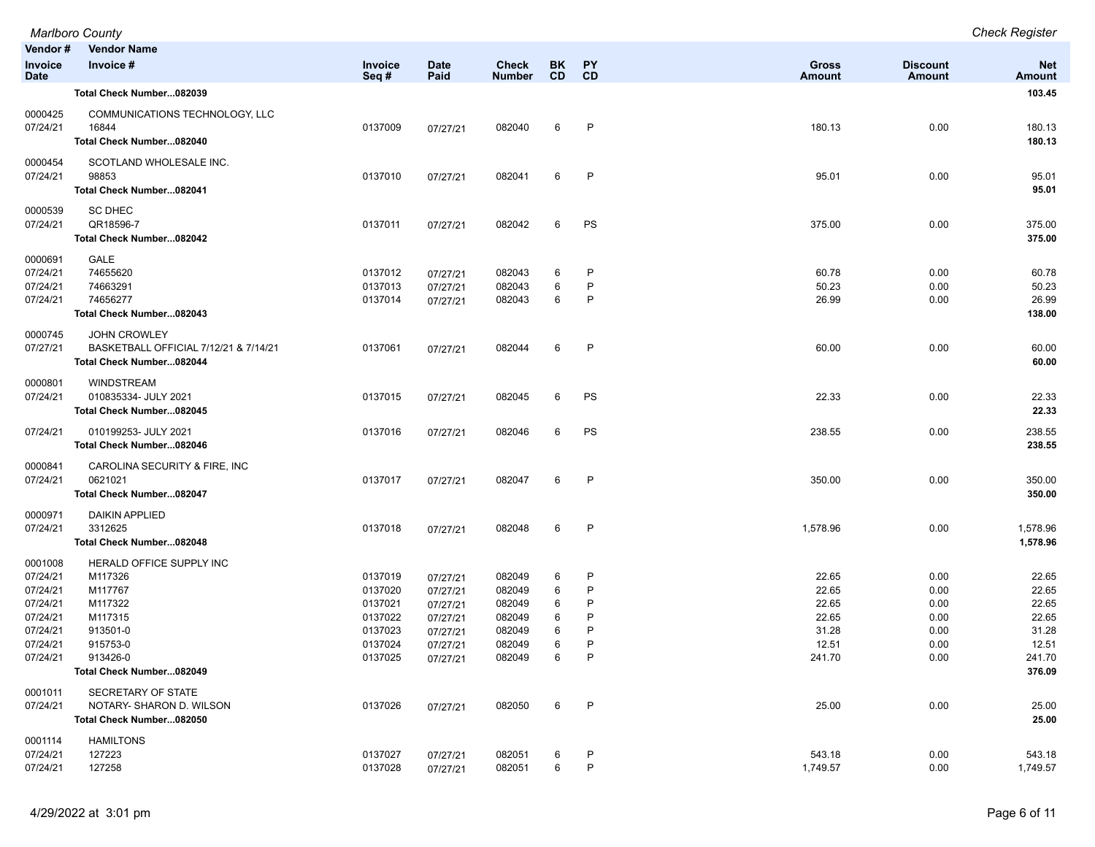|                      | <b>Marlboro County</b>                                            |                    |                      |                  |           |           |                |                 | <b>Check Register</b> |
|----------------------|-------------------------------------------------------------------|--------------------|----------------------|------------------|-----------|-----------|----------------|-----------------|-----------------------|
| Vendor#              | <b>Vendor Name</b>                                                |                    |                      |                  |           |           |                |                 |                       |
| Invoice              | Invoice #                                                         | Invoice            | <b>Date</b>          | <b>Check</b>     | <b>BK</b> | <b>PY</b> | <b>Gross</b>   | <b>Discount</b> | <b>Net</b>            |
| <b>Date</b>          |                                                                   | Seq#               | Paid                 | <b>Number</b>    | <b>CD</b> | CD        | <b>Amount</b>  | Amount          | <b>Amount</b>         |
|                      | Total Check Number082039                                          |                    |                      |                  |           |           |                |                 | 103.45                |
| 0000425              | COMMUNICATIONS TECHNOLOGY, LLC                                    |                    |                      |                  |           |           |                |                 |                       |
| 07/24/21             | 16844                                                             | 0137009            | 07/27/21             | 082040           | 6         | P         | 180.13         | 0.00            | 180.13                |
|                      | Total Check Number082040                                          |                    |                      |                  |           |           |                |                 | 180.13                |
| 0000454              | SCOTLAND WHOLESALE INC.                                           |                    |                      |                  |           |           |                |                 |                       |
| 07/24/21             | 98853                                                             | 0137010            | 07/27/21             | 082041           | 6         | P         | 95.01          | 0.00            | 95.01                 |
|                      | Total Check Number082041                                          |                    |                      |                  |           |           |                |                 | 95.01                 |
| 0000539              | <b>SC DHEC</b>                                                    |                    |                      |                  |           |           |                |                 |                       |
| 07/24/21             | QR18596-7                                                         | 0137011            | 07/27/21             | 082042           | 6         | PS        | 375.00         | 0.00            | 375.00                |
|                      | Total Check Number082042                                          |                    |                      |                  |           |           |                |                 | 375.00                |
|                      |                                                                   |                    |                      |                  |           |           |                |                 |                       |
| 0000691<br>07/24/21  | GALE<br>74655620                                                  | 0137012            | 07/27/21             | 082043           | 6         | P         | 60.78          | 0.00            | 60.78                 |
| 07/24/21             | 74663291                                                          | 0137013            | 07/27/21             | 082043           | 6         | P         | 50.23          | 0.00            | 50.23                 |
| 07/24/21             | 74656277                                                          | 0137014            | 07/27/21             | 082043           | 6         | P         | 26.99          | 0.00            | 26.99                 |
|                      | Total Check Number082043                                          |                    |                      |                  |           |           |                |                 | 138.00                |
|                      |                                                                   |                    |                      |                  |           |           |                |                 |                       |
| 0000745              | <b>JOHN CROWLEY</b>                                               |                    |                      |                  | 6         | P         |                |                 |                       |
| 07/27/21             | BASKETBALL OFFICIAL 7/12/21 & 7/14/21<br>Total Check Number082044 | 0137061            | 07/27/21             | 082044           |           |           | 60.00          | 0.00            | 60.00<br>60.00        |
|                      |                                                                   |                    |                      |                  |           |           |                |                 |                       |
| 0000801              | <b>WINDSTREAM</b>                                                 |                    |                      |                  |           |           |                |                 |                       |
| 07/24/21             | 010835334- JULY 2021                                              | 0137015            | 07/27/21             | 082045           | 6         | PS        | 22.33          | 0.00            | 22.33                 |
|                      | Total Check Number082045                                          |                    |                      |                  |           |           |                |                 | 22.33                 |
| 07/24/21             | 010199253- JULY 2021                                              | 0137016            | 07/27/21             | 082046           | 6         | PS        | 238.55         | 0.00            | 238.55                |
|                      | Total Check Number082046                                          |                    |                      |                  |           |           |                |                 | 238.55                |
| 0000841              | CAROLINA SECURITY & FIRE, INC                                     |                    |                      |                  |           |           |                |                 |                       |
| 07/24/21             | 0621021                                                           | 0137017            | 07/27/21             | 082047           | 6         | P         | 350.00         | 0.00            | 350.00                |
|                      | Total Check Number082047                                          |                    |                      |                  |           |           |                |                 | 350.00                |
|                      |                                                                   |                    |                      |                  |           |           |                |                 |                       |
| 0000971<br>07/24/21  | <b>DAIKIN APPLIED</b><br>3312625                                  | 0137018            |                      | 082048           | 6         | P         | 1,578.96       | 0.00            | 1,578.96              |
|                      | Total Check Number082048                                          |                    | 07/27/21             |                  |           |           |                |                 | 1,578.96              |
|                      |                                                                   |                    |                      |                  |           |           |                |                 |                       |
| 0001008              | HERALD OFFICE SUPPLY INC                                          |                    |                      |                  |           |           |                |                 |                       |
| 07/24/21             | M117326                                                           | 0137019            | 07/27/21             | 082049           | 6         | P         | 22.65          | 0.00            | 22.65                 |
| 07/24/21<br>07/24/21 | M117767<br>M117322                                                | 0137020<br>0137021 | 07/27/21             | 082049<br>082049 | 6<br>6    | P<br>P    | 22.65<br>22.65 | 0.00<br>0.00    | 22.65<br>22.65        |
| 07/24/21             | M117315                                                           | 0137022            | 07/27/21<br>07/27/21 | 082049           | 6         | P         | 22.65          | 0.00            | 22.65                 |
| 07/24/21             | 913501-0                                                          | 0137023            | 07/27/21             | 082049           | 6         | P         | 31.28          | 0.00            | 31.28                 |
| 07/24/21             | 915753-0                                                          | 0137024            | 07/27/21             | 082049           | 6         | P         | 12.51          | 0.00            | 12.51                 |
| 07/24/21             | 913426-0                                                          | 0137025            | 07/27/21             | 082049           | 6         | P         | 241.70         | 0.00            | 241.70                |
|                      | Total Check Number082049                                          |                    |                      |                  |           |           |                |                 | 376.09                |
| 0001011              | SECRETARY OF STATE                                                |                    |                      |                  |           |           |                |                 |                       |
| 07/24/21             | NOTARY- SHARON D. WILSON                                          | 0137026            | 07/27/21             | 082050           | 6         | P         | 25.00          | 0.00            | 25.00                 |
|                      | Total Check Number082050                                          |                    |                      |                  |           |           |                |                 | 25.00                 |
| 0001114              | <b>HAMILTONS</b>                                                  |                    |                      |                  |           |           |                |                 |                       |
| 07/24/21             | 127223                                                            | 0137027            | 07/27/21             | 082051           | 6         | P         | 543.18         | 0.00            | 543.18                |
| 07/24/21             | 127258                                                            | 0137028            | 07/27/21             | 082051           | 6         | P         | 1,749.57       | 0.00            | 1,749.57              |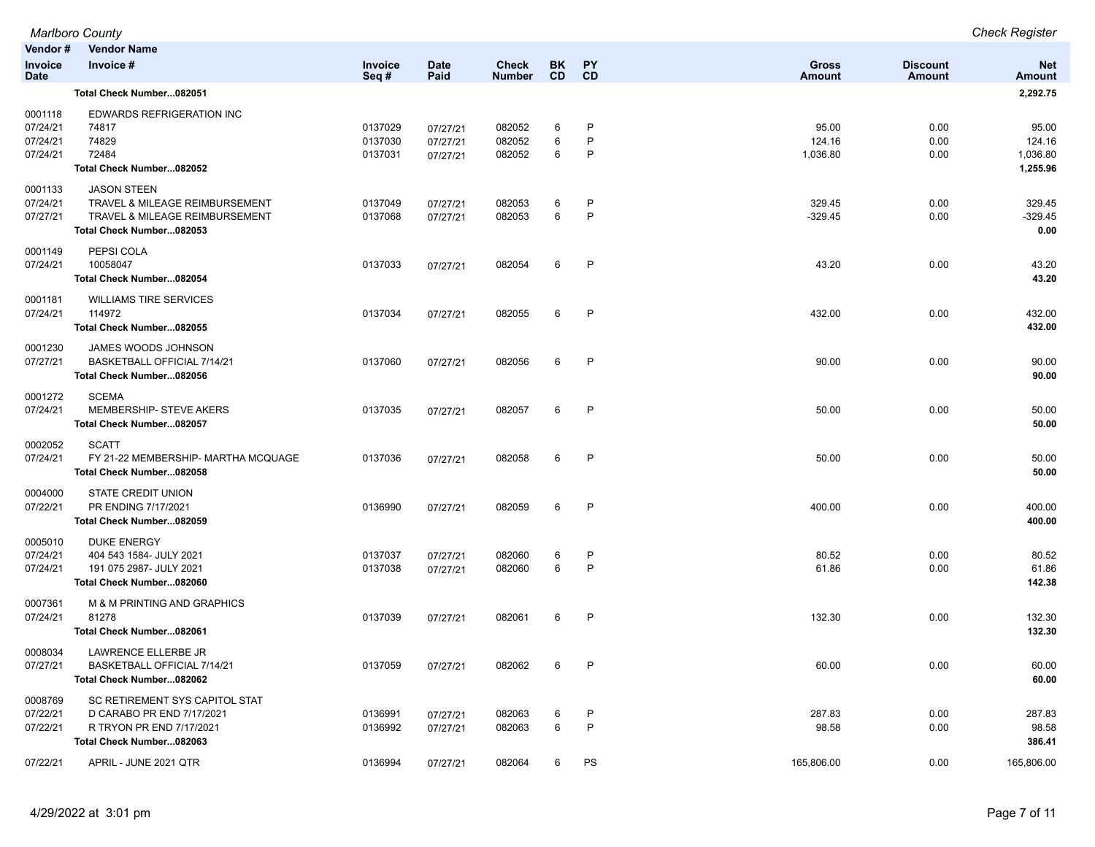|                                             | <b>Marlboro County</b>                                                                                              |                               |                                  |                            |             |              |                             |                      | <b>Check Register</b>                   |
|---------------------------------------------|---------------------------------------------------------------------------------------------------------------------|-------------------------------|----------------------------------|----------------------------|-------------|--------------|-----------------------------|----------------------|-----------------------------------------|
| Vendor#<br>Invoice                          | <b>Vendor Name</b><br>Invoice #                                                                                     | Invoice                       | <b>Date</b>                      | <b>Check</b>               | <b>BK</b>   | <b>PY</b>    | <b>Gross</b>                | <b>Discount</b>      | <b>Net</b>                              |
| <b>Date</b>                                 |                                                                                                                     | Seq#                          | Paid                             | <b>Number</b>              | <b>CD</b>   | CD           | <b>Amount</b>               | Amount               | <b>Amount</b>                           |
|                                             | Total Check Number082051                                                                                            |                               |                                  |                            |             |              |                             |                      | 2,292.75                                |
| 0001118<br>07/24/21<br>07/24/21<br>07/24/21 | EDWARDS REFRIGERATION INC<br>74817<br>74829<br>72484<br>Total Check Number082052                                    | 0137029<br>0137030<br>0137031 | 07/27/21<br>07/27/21<br>07/27/21 | 082052<br>082052<br>082052 | 6<br>6<br>6 | P<br>P<br>P  | 95.00<br>124.16<br>1,036.80 | 0.00<br>0.00<br>0.00 | 95.00<br>124.16<br>1,036.80<br>1,255.96 |
| 0001133<br>07/24/21<br>07/27/21             | <b>JASON STEEN</b><br>TRAVEL & MILEAGE REIMBURSEMENT<br>TRAVEL & MILEAGE REIMBURSEMENT<br>Total Check Number082053  | 0137049<br>0137068            | 07/27/21<br>07/27/21             | 082053<br>082053           | 6<br>6      | P<br>P       | 329.45<br>$-329.45$         | 0.00<br>0.00         | 329.45<br>$-329.45$<br>0.00             |
| 0001149<br>07/24/21                         | PEPSI COLA<br>10058047<br>Total Check Number082054                                                                  | 0137033                       | 07/27/21                         | 082054                     | 6           | P            | 43.20                       | 0.00                 | 43.20<br>43.20                          |
| 0001181<br>07/24/21                         | <b>WILLIAMS TIRE SERVICES</b><br>114972<br>Total Check Number082055                                                 | 0137034                       | 07/27/21                         | 082055                     | 6           | P            | 432.00                      | 0.00                 | 432.00<br>432.00                        |
| 0001230<br>07/27/21                         | JAMES WOODS JOHNSON<br>BASKETBALL OFFICIAL 7/14/21<br>Total Check Number082056                                      | 0137060                       | 07/27/21                         | 082056                     | 6           | P            | 90.00                       | 0.00                 | 90.00<br>90.00                          |
| 0001272<br>07/24/21                         | <b>SCEMA</b><br>MEMBERSHIP- STEVE AKERS<br>Total Check Number082057                                                 | 0137035                       | 07/27/21                         | 082057                     | 6           | P            | 50.00                       | 0.00                 | 50.00<br>50.00                          |
| 0002052<br>07/24/21                         | <b>SCATT</b><br>FY 21-22 MEMBERSHIP- MARTHA MCQUAGE<br>Total Check Number082058                                     | 0137036                       | 07/27/21                         | 082058                     | 6           | $\mathsf{P}$ | 50.00                       | 0.00                 | 50.00<br>50.00                          |
| 0004000<br>07/22/21                         | STATE CREDIT UNION<br>PR ENDING 7/17/2021<br>Total Check Number082059                                               | 0136990                       | 07/27/21                         | 082059                     | 6           | P            | 400.00                      | 0.00                 | 400.00<br>400.00                        |
| 0005010<br>07/24/21<br>07/24/21             | <b>DUKE ENERGY</b><br>404 543 1584- JULY 2021<br>191 075 2987- JULY 2021<br>Total Check Number082060                | 0137037<br>0137038            | 07/27/21<br>07/27/21             | 082060<br>082060           | 6<br>6      | P<br>P       | 80.52<br>61.86              | 0.00<br>0.00         | 80.52<br>61.86<br>142.38                |
| 0007361<br>07/24/21                         | M & M PRINTING AND GRAPHICS<br>81278<br>Total Check Number082061                                                    | 0137039                       | 07/27/21                         | 082061                     | 6           | P            | 132.30                      | 0.00                 | 132.30<br>132.30                        |
| 0008034<br>07/27/21                         | LAWRENCE ELLERBE JR<br>BASKETBALL OFFICIAL 7/14/21<br>Total Check Number082062                                      | 0137059                       | 07/27/21                         | 082062                     | 6           | P            | 60.00                       | 0.00                 | 60.00<br>60.00                          |
| 0008769<br>07/22/21<br>07/22/21             | SC RETIREMENT SYS CAPITOL STAT<br>D CARABO PR END 7/17/2021<br>R TRYON PR END 7/17/2021<br>Total Check Number082063 | 0136991<br>0136992            | 07/27/21<br>07/27/21             | 082063<br>082063           | 6<br>6      | P<br>P       | 287.83<br>98.58             | 0.00<br>0.00         | 287.83<br>98.58<br>386.41               |
| 07/22/21                                    | APRIL - JUNE 2021 QTR                                                                                               | 0136994                       | 07/27/21                         | 082064                     | 6           | PS           | 165,806.00                  | 0.00                 | 165,806.00                              |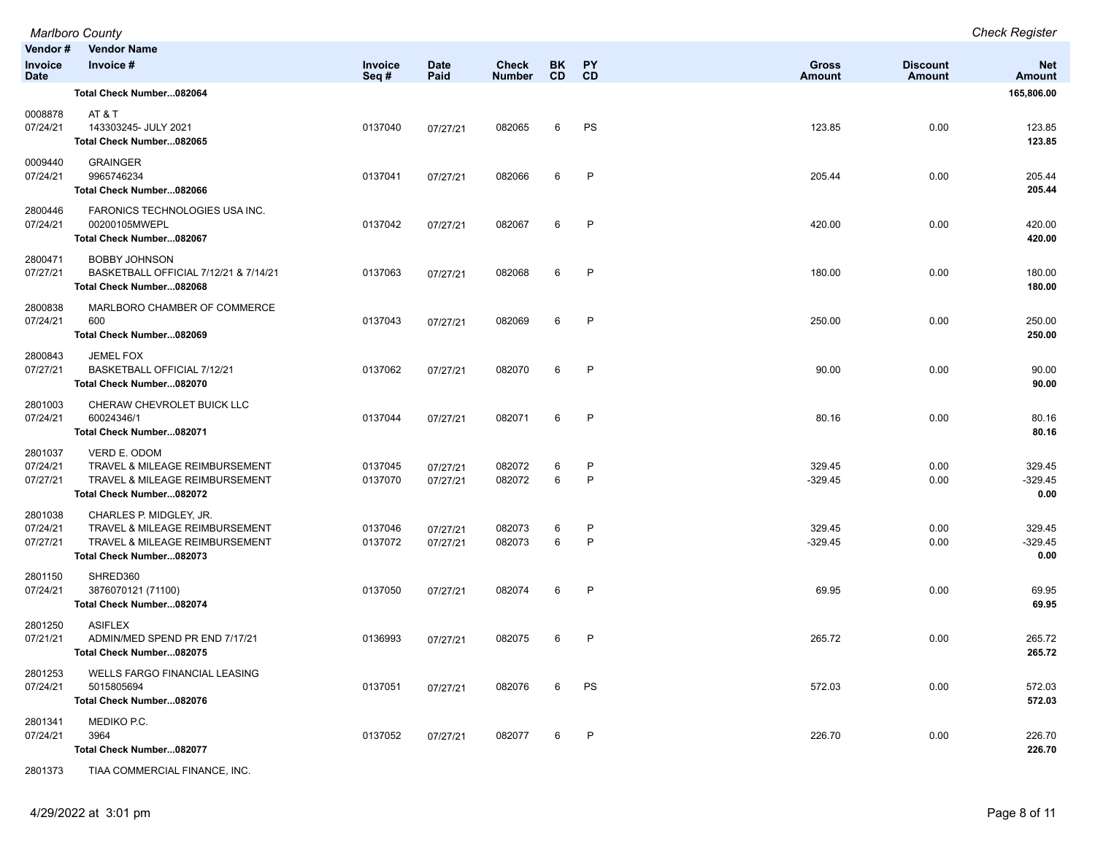|                                          | <b>Marlboro County</b>                                                                                                  |                    |                      |                               |                  |                   |                        |                           | <b>Check Register</b>       |
|------------------------------------------|-------------------------------------------------------------------------------------------------------------------------|--------------------|----------------------|-------------------------------|------------------|-------------------|------------------------|---------------------------|-----------------------------|
| Vendor#<br><b>Invoice</b><br><b>Date</b> | <b>Vendor Name</b><br>Invoice #                                                                                         | Invoice<br>Seq#    | <b>Date</b><br>Paid  | <b>Check</b><br><b>Number</b> | BK.<br><b>CD</b> | <b>PY</b><br>CD   | <b>Gross</b><br>Amount | <b>Discount</b><br>Amount | <b>Net</b><br><b>Amount</b> |
|                                          | Total Check Number082064                                                                                                |                    |                      |                               |                  |                   |                        |                           | 165,806.00                  |
| 0008878<br>07/24/21                      | AT & T<br>143303245- JULY 2021<br>Total Check Number082065                                                              | 0137040            | 07/27/21             | 082065                        | 6                | PS                | 123.85                 | 0.00                      | 123.85<br>123.85            |
| 0009440<br>07/24/21                      | <b>GRAINGER</b><br>9965746234<br>Total Check Number082066                                                               | 0137041            | 07/27/21             | 082066                        | 6                | $\mathsf{P}$      | 205.44                 | 0.00                      | 205.44<br>205.44            |
| 2800446<br>07/24/21                      | FARONICS TECHNOLOGIES USA INC.<br>00200105MWEPL<br>Total Check Number082067                                             | 0137042            | 07/27/21             | 082067                        | 6                | $\mathsf{P}$      | 420.00                 | 0.00                      | 420.00<br>420.00            |
| 2800471<br>07/27/21                      | <b>BOBBY JOHNSON</b><br>BASKETBALL OFFICIAL 7/12/21 & 7/14/21<br>Total Check Number082068                               | 0137063            | 07/27/21             | 082068                        | 6                | P                 | 180.00                 | 0.00                      | 180.00<br>180.00            |
| 2800838<br>07/24/21                      | MARLBORO CHAMBER OF COMMERCE<br>600<br>Total Check Number082069                                                         | 0137043            | 07/27/21             | 082069                        | 6                | $\mathsf{P}$      | 250.00                 | 0.00                      | 250.00<br>250.00            |
| 2800843<br>07/27/21                      | <b>JEMEL FOX</b><br>BASKETBALL OFFICIAL 7/12/21<br>Total Check Number082070                                             | 0137062            | 07/27/21             | 082070                        | 6                | P                 | 90.00                  | 0.00                      | 90.00<br>90.00              |
| 2801003<br>07/24/21                      | CHERAW CHEVROLET BUICK LLC<br>60024346/1<br>Total Check Number082071                                                    | 0137044            | 07/27/21             | 082071                        | 6                | P                 | 80.16                  | 0.00                      | 80.16<br>80.16              |
| 2801037<br>07/24/21<br>07/27/21          | VERD E. ODOM<br>TRAVEL & MILEAGE REIMBURSEMENT<br>TRAVEL & MILEAGE REIMBURSEMENT<br>Total Check Number082072            | 0137045<br>0137070 | 07/27/21<br>07/27/21 | 082072<br>082072              | 6<br>6           | P<br>$\mathsf{P}$ | 329.45<br>$-329.45$    | 0.00<br>0.00              | 329.45<br>$-329.45$<br>0.00 |
| 2801038<br>07/24/21<br>07/27/21          | CHARLES P. MIDGLEY, JR.<br>TRAVEL & MILEAGE REIMBURSEMENT<br>TRAVEL & MILEAGE REIMBURSEMENT<br>Total Check Number082073 | 0137046<br>0137072 | 07/27/21<br>07/27/21 | 082073<br>082073              | 6<br>6           | P<br>$\mathsf{P}$ | 329.45<br>$-329.45$    | 0.00<br>0.00              | 329.45<br>$-329.45$<br>0.00 |
| 2801150<br>07/24/21                      | SHRED360<br>3876070121 (71100)<br>Total Check Number082074                                                              | 0137050            | 07/27/21             | 082074                        | 6                | P                 | 69.95                  | 0.00                      | 69.95<br>69.95              |
| 2801250<br>07/21/21                      | <b>ASIFLEX</b><br>ADMIN/MED SPEND PR END 7/17/21<br>Total Check Number082075                                            | 0136993            | 07/27/21             | 082075                        | 6                | P                 | 265.72                 | 0.00                      | 265.72<br>265.72            |
| 2801253<br>07/24/21                      | WELLS FARGO FINANCIAL LEASING<br>5015805694<br>Total Check Number082076                                                 | 0137051            | 07/27/21             | 082076                        | 6                | PS                | 572.03                 | 0.00                      | 572.03<br>572.03            |
| 2801341<br>07/24/21                      | MEDIKO P.C.<br>3964<br>Total Check Number082077                                                                         | 0137052            | 07/27/21             | 082077                        | 6                | P                 | 226.70                 | 0.00                      | 226.70<br>226.70            |

2801373 TIAA COMMERCIAL FINANCE, INC.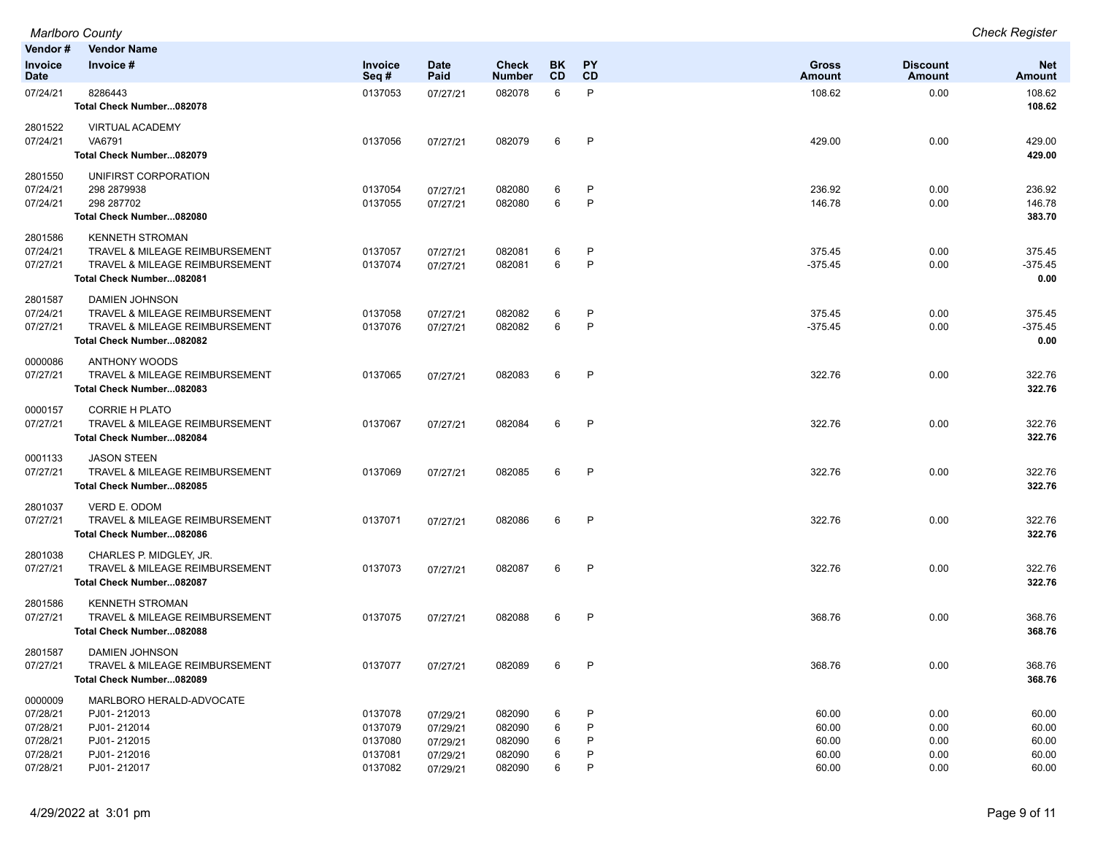*Marlboro County Check Register*

| Vendor #                                                            | <b>Vendor Name</b>                                                                                                                |                                                     |                                                          |                                                |                       |              |                                           |                                      |                                           |
|---------------------------------------------------------------------|-----------------------------------------------------------------------------------------------------------------------------------|-----------------------------------------------------|----------------------------------------------------------|------------------------------------------------|-----------------------|--------------|-------------------------------------------|--------------------------------------|-------------------------------------------|
| Invoice<br><b>Date</b>                                              | Invoice#                                                                                                                          | Invoice<br>Seq#                                     | <b>Date</b><br>Paid                                      | Check<br>Number                                | BK.<br><b>CD</b>      | PY<br>CD     | <b>Gross</b><br><b>Amount</b>             | <b>Discount</b><br><b>Amount</b>     | <b>Net</b><br>Amount                      |
| 07/24/21                                                            | 8286443<br>Total Check Number082078                                                                                               | 0137053                                             | 07/27/21                                                 | 082078                                         | 6                     | P            | 108.62                                    | 0.00                                 | 108.62<br>108.62                          |
| 2801522<br>07/24/21                                                 | <b>VIRTUAL ACADEMY</b><br>VA6791<br>Total Check Number082079                                                                      | 0137056                                             | 07/27/21                                                 | 082079                                         | 6                     | P            | 429.00                                    | 0.00                                 | 429.00<br>429.00                          |
| 2801550<br>07/24/21<br>07/24/21                                     | UNIFIRST CORPORATION<br>298 2879938<br>298 287702<br>Total Check Number082080                                                     | 0137054<br>0137055                                  | 07/27/21<br>07/27/21                                     | 082080<br>082080                               | 6<br>6                | P<br>P       | 236.92<br>146.78                          | 0.00<br>0.00                         | 236.92<br>146.78<br>383.70                |
| 2801586<br>07/24/21<br>07/27/21                                     | <b>KENNETH STROMAN</b><br>TRAVEL & MILEAGE REIMBURSEMENT<br><b>TRAVEL &amp; MILEAGE REIMBURSEMENT</b><br>Total Check Number082081 | 0137057<br>0137074                                  | 07/27/21<br>07/27/21                                     | 082081<br>082081                               | 6<br>6                | P<br>P       | 375.45<br>$-375.45$                       | 0.00<br>0.00                         | 375.45<br>$-375.45$<br>0.00               |
| 2801587<br>07/24/21<br>07/27/21                                     | <b>DAMIEN JOHNSON</b><br><b>TRAVEL &amp; MILEAGE REIMBURSEMENT</b><br>TRAVEL & MILEAGE REIMBURSEMENT<br>Total Check Number082082  | 0137058<br>0137076                                  | 07/27/21<br>07/27/21                                     | 082082<br>082082                               | 6<br>6                | P<br>P       | 375.45<br>$-375.45$                       | 0.00<br>0.00                         | 375.45<br>$-375.45$<br>0.00               |
| 0000086<br>07/27/21                                                 | <b>ANTHONY WOODS</b><br>TRAVEL & MILEAGE REIMBURSEMENT<br>Total Check Number082083                                                | 0137065                                             | 07/27/21                                                 | 082083                                         | 6                     | P            | 322.76                                    | 0.00                                 | 322.76<br>322.76                          |
| 0000157<br>07/27/21                                                 | <b>CORRIE H PLATO</b><br><b>TRAVEL &amp; MILEAGE REIMBURSEMENT</b><br>Total Check Number082084                                    | 0137067                                             | 07/27/21                                                 | 082084                                         | 6                     | P            | 322.76                                    | 0.00                                 | 322.76<br>322.76                          |
| 0001133<br>07/27/21                                                 | <b>JASON STEEN</b><br>TRAVEL & MILEAGE REIMBURSEMENT<br>Total Check Number082085                                                  | 0137069                                             | 07/27/21                                                 | 082085                                         | 6                     | $\mathsf{P}$ | 322.76                                    | 0.00                                 | 322.76<br>322.76                          |
| 2801037<br>07/27/21                                                 | VERD E. ODOM<br><b>TRAVEL &amp; MILEAGE REIMBURSEMENT</b><br>Total Check Number082086                                             | 0137071                                             | 07/27/21                                                 | 082086                                         | 6                     | P            | 322.76                                    | 0.00                                 | 322.76<br>322.76                          |
| 2801038<br>07/27/21                                                 | CHARLES P. MIDGLEY, JR.<br>TRAVEL & MILEAGE REIMBURSEMENT<br>Total Check Number082087                                             | 0137073                                             | 07/27/21                                                 | 082087                                         | 6                     | P            | 322.76                                    | 0.00                                 | 322.76<br>322.76                          |
| 2801586<br>07/27/21                                                 | <b>KENNETH STROMAN</b><br><b>TRAVEL &amp; MILEAGE REIMBURSEMENT</b><br>Total Check Number082088                                   | 0137075                                             | 07/27/21                                                 | 082088                                         | 6                     | $\mathsf{P}$ | 368.76                                    | 0.00                                 | 368.76<br>368.76                          |
| 2801587<br>07/27/21                                                 | DAMIEN JOHNSON<br>TRAVEL & MILEAGE REIMBURSEMENT<br>Total Check Number082089                                                      | 0137077                                             | 07/27/21                                                 | 082089                                         |                       |              | 368.76                                    | 0.00                                 | 368.76<br>368.76                          |
| 0000009<br>07/28/21<br>07/28/21<br>07/28/21<br>07/28/21<br>07/28/21 | MARLBORO HERALD-ADVOCATE<br>PJ01-212013<br>PJ01-212014<br>PJ01-212015<br>PJ01-212016<br>PJ01-212017                               | 0137078<br>0137079<br>0137080<br>0137081<br>0137082 | 07/29/21<br>07/29/21<br>07/29/21<br>07/29/21<br>07/29/21 | 082090<br>082090<br>082090<br>082090<br>082090 | 6<br>6<br>6<br>6<br>6 | P<br>P<br>P  | 60.00<br>60.00<br>60.00<br>60.00<br>60.00 | 0.00<br>0.00<br>0.00<br>0.00<br>0.00 | 60.00<br>60.00<br>60.00<br>60.00<br>60.00 |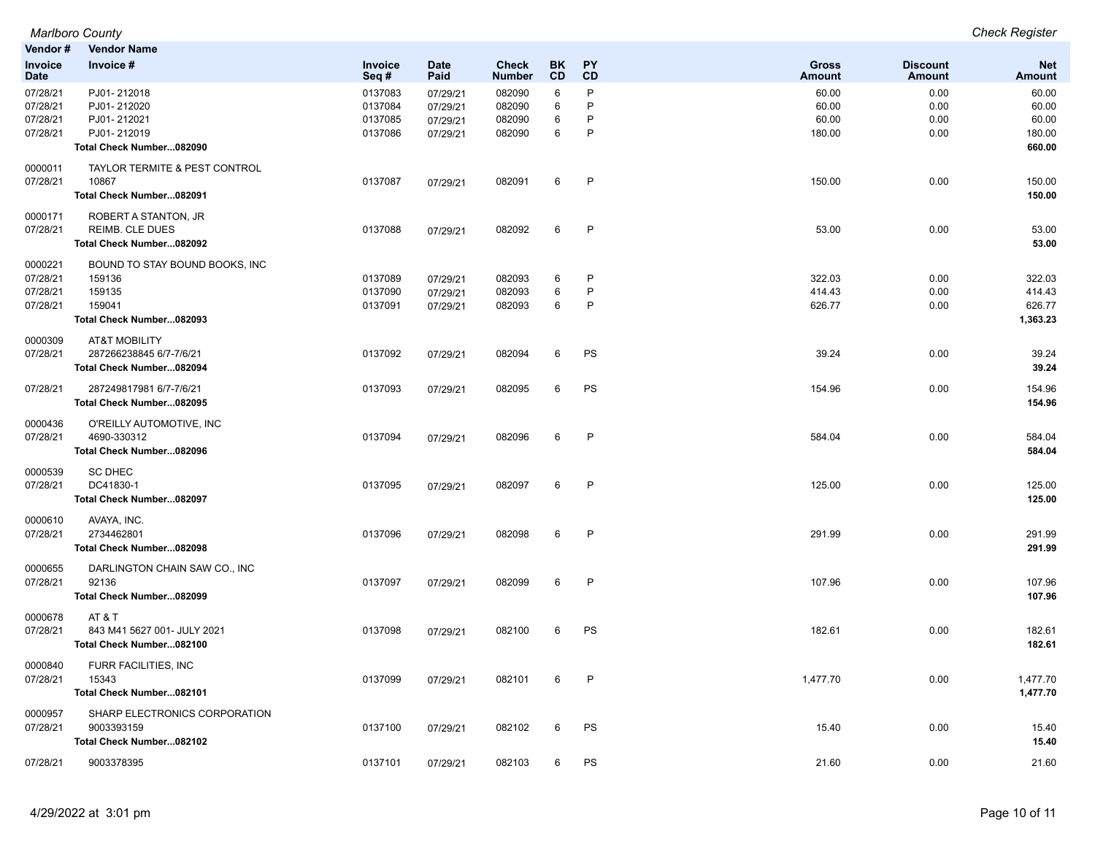| Vendor #        | <b>Vendor Name</b>             |                        |                     |                        |                 |                        |                 |                           |                      |
|-----------------|--------------------------------|------------------------|---------------------|------------------------|-----------------|------------------------|-----------------|---------------------------|----------------------|
| Invoice<br>Date | Invoice #                      | <b>Invoice</b><br>Seq# | <b>Date</b><br>Paid | Check<br><b>Number</b> | BK<br><b>CD</b> | <b>PY</b><br><b>CD</b> | Gross<br>Amount | <b>Discount</b><br>Amount | <b>Net</b><br>Amount |
| 07/28/21        | PJ01-212018                    | 0137083                | 07/29/21            | 082090                 | 6               | P                      | 60.00           | 0.00                      | 60.00                |
| 07/28/21        | PJ01-212020                    | 0137084                | 07/29/21            | 082090                 | 6               | P                      | 60.00           | 0.00                      | 60.00                |
| 07/28/21        | PJ01-212021                    | 0137085                | 07/29/21            | 082090                 | 6               | P                      | 60.00           | 0.00                      | 60.00                |
| 07/28/21        | PJ01-212019                    | 0137086                | 07/29/21            | 082090                 | 6               | P                      | 180.00          | 0.00                      | 180.00               |
|                 | Total Check Number082090       |                        |                     |                        |                 |                        |                 |                           | 660.00               |
| 0000011         | TAYLOR TERMITE & PEST CONTROL  |                        |                     |                        |                 |                        |                 |                           |                      |
| 07/28/21        | 10867                          | 0137087                | 07/29/21            | 082091                 | 6               | P                      | 150.00          | 0.00                      | 150.00               |
|                 | Total Check Number082091       |                        |                     |                        |                 |                        |                 |                           | 150.00               |
| 0000171         | ROBERT A STANTON, JR           |                        |                     |                        |                 |                        |                 |                           |                      |
| 07/28/21        | <b>REIMB. CLE DUES</b>         | 0137088                | 07/29/21            | 082092                 | 6               | P                      | 53.00           | 0.00                      | 53.00                |
|                 | Total Check Number082092       |                        |                     |                        |                 |                        |                 |                           | 53.00                |
| 0000221         | BOUND TO STAY BOUND BOOKS, INC |                        |                     |                        |                 |                        |                 |                           |                      |
| 07/28/21        | 159136                         | 0137089                | 07/29/21            | 082093                 | 6               | P                      | 322.03          | 0.00                      | 322.03               |
| 07/28/21        | 159135                         | 0137090                | 07/29/21            | 082093                 | 6               | P                      | 414.43          | 0.00                      | 414.43               |
| 07/28/21        | 159041                         | 0137091                | 07/29/21            | 082093                 | 6               | P                      | 626.77          | 0.00                      | 626.77               |
|                 | Total Check Number082093       |                        |                     |                        |                 |                        |                 |                           | 1,363.23             |
| 0000309         | <b>AT&amp;T MOBILITY</b>       |                        |                     |                        |                 |                        |                 |                           |                      |
| 07/28/21        | 287266238845 6/7-7/6/21        | 0137092                | 07/29/21            | 082094                 | 6               | PS                     | 39.24           | 0.00                      | 39.24                |
|                 | Total Check Number082094       |                        |                     |                        |                 |                        |                 |                           | 39.24                |
| 07/28/21        | 287249817981 6/7-7/6/21        | 0137093                | 07/29/21            | 082095                 | 6               | PS                     | 154.96          | 0.00                      | 154.96               |
|                 | Total Check Number082095       |                        |                     |                        |                 |                        |                 |                           | 154.96               |
| 0000436         | O'REILLY AUTOMOTIVE, INC       |                        |                     |                        |                 |                        |                 |                           |                      |
| 07/28/21        | 4690-330312                    | 0137094                | 07/29/21            | 082096                 | 6               | P                      | 584.04          | 0.00                      | 584.04               |
|                 | Total Check Number082096       |                        |                     |                        |                 |                        |                 |                           | 584.04               |
| 0000539         | <b>SC DHEC</b>                 |                        |                     |                        |                 |                        |                 |                           |                      |
| 07/28/21        | DC41830-1                      | 0137095                | 07/29/21            | 082097                 | 6               | P                      | 125.00          | 0.00                      | 125.00               |
|                 | Total Check Number082097       |                        |                     |                        |                 |                        |                 |                           | 125.00               |
| 0000610         | AVAYA, INC.                    |                        |                     |                        |                 |                        |                 |                           |                      |
| 07/28/21        | 2734462801                     | 0137096                | 07/29/21            | 082098                 | 6               | P                      | 291.99          | 0.00                      | 291.99               |
|                 | Total Check Number082098       |                        |                     |                        |                 |                        |                 |                           | 291.99               |
| 0000655         | DARLINGTON CHAIN SAW CO., INC  |                        |                     |                        |                 |                        |                 |                           |                      |
| 07/28/21        | 92136                          | 0137097                | 07/29/21            | 082099                 | 6               | P                      | 107.96          | 0.00                      | 107.96               |
|                 | Total Check Number082099       |                        |                     |                        |                 |                        |                 |                           | 107.96               |
| 0000678         | AT & T                         |                        |                     |                        |                 |                        |                 |                           |                      |
| 07/28/21        | 843 M41 5627 001- JULY 2021    | 0137098                | 07/29/21            | 082100                 | 6               | PS                     | 182.61          | 0.00                      | 182.61               |
|                 | Total Check Number082100       |                        |                     |                        |                 |                        |                 |                           | 182.61               |
| 0000840         | FURR FACILITIES, INC           |                        |                     |                        |                 |                        |                 |                           |                      |
| 07/28/21        | 15343                          | 0137099                | 07/29/21            | 082101                 | 6               | P                      | 1,477.70        | 0.00                      | 1,477.70             |
|                 | Total Check Number082101       |                        |                     |                        |                 |                        |                 |                           | 1,477.70             |
| 0000957         | SHARP ELECTRONICS CORPORATION  |                        |                     |                        |                 |                        |                 |                           |                      |
| 07/28/21        | 9003393159                     | 0137100                | 07/29/21            | 082102                 | 6               | PS                     | 15.40           | 0.00                      | 15.40                |
|                 | Total Check Number082102       |                        |                     |                        |                 |                        |                 |                           | 15.40                |
| 07/28/21        | 9003378395                     | 0137101                | 07/29/21            | 082103                 | 6               | PS                     | 21.60           | 0.00                      | 21.60                |

*Marlboro County Check Register*